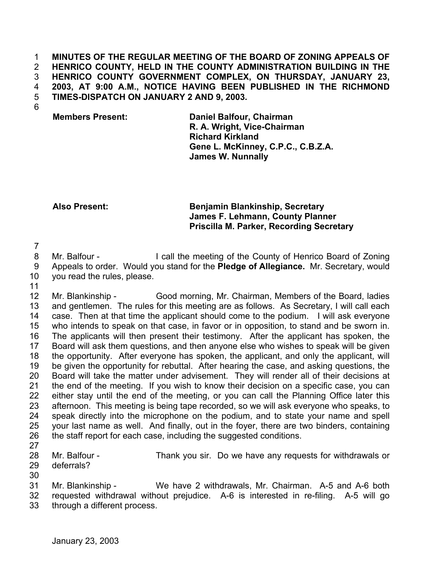## **MINUTES OF THE REGULAR MEETING OF THE BOARD OF ZONING APPEALS OF HENRICO COUNTY, HELD IN THE COUNTY ADMINISTRATION BUILDING IN THE HENRICO COUNTY GOVERNMENT COMPLEX, ON THURSDAY, JANUARY 23, 2003, AT 9:00 A.M., NOTICE HAVING BEEN PUBLISHED IN THE RICHMOND TIMES-DISPATCH ON JANUARY 2 AND 9, 2003.**  1 2 3 4 5

6

**Members Present: Daniel Balfour, Chairman R. A. Wright, Vice-Chairman Richard Kirkland Gene L. McKinney, C.P.C., C.B.Z.A. James W. Nunnally**

## **Also Present: Benjamin Blankinship, Secretary James F. Lehmann, County Planner Priscilla M. Parker, Recording Secretary**

7

8 9 10 Mr. Balfour - I call the meeting of the County of Henrico Board of Zoning Appeals to order. Would you stand for the **Pledge of Allegiance.** Mr. Secretary, would you read the rules, please.

11

12 13 14 15 16 17 18 19 20 21 22 23 24 25 26 Mr. Blankinship - Good morning, Mr. Chairman, Members of the Board, ladies and gentlemen. The rules for this meeting are as follows. As Secretary, I will call each case. Then at that time the applicant should come to the podium. I will ask everyone who intends to speak on that case, in favor or in opposition, to stand and be sworn in. The applicants will then present their testimony. After the applicant has spoken, the Board will ask them questions, and then anyone else who wishes to speak will be given the opportunity. After everyone has spoken, the applicant, and only the applicant, will be given the opportunity for rebuttal. After hearing the case, and asking questions, the Board will take the matter under advisement. They will render all of their decisions at the end of the meeting. If you wish to know their decision on a specific case, you can either stay until the end of the meeting, or you can call the Planning Office later this afternoon. This meeting is being tape recorded, so we will ask everyone who speaks, to speak directly into the microphone on the podium, and to state your name and spell your last name as well. And finally, out in the foyer, there are two binders, containing the staff report for each case, including the suggested conditions.

27

28 29 Mr. Balfour - Thank you sir. Do we have any requests for withdrawals or deferrals?

30

31 Mr. Blankinship - We have 2 withdrawals, Mr. Chairman. A-5 and A-6 both

32 33 requested withdrawal without prejudice. A-6 is interested in re-filing. A-5 will go through a different process.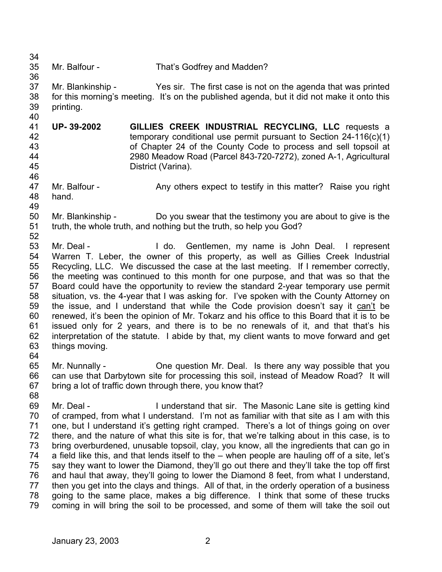34 35 36 37 38 39 40 41 42 43 44 45 46 47 48 49 50 51 52 53 54 55 56 57 58 Mr. Balfour - That's Godfrey and Madden? Mr. Blankinship - Yes sir. The first case is not on the agenda that was printed for this morning's meeting. It's on the published agenda, but it did not make it onto this printing. **UP- 39-2002 GILLIES CREEK INDUSTRIAL RECYCLING, LLC** requests a temporary conditional use permit pursuant to Section 24-116(c)(1) of Chapter 24 of the County Code to process and sell topsoil at 2980 Meadow Road (Parcel 843-720-7272), zoned A-1, Agricultural District (Varina). Mr. Balfour - Any others expect to testify in this matter? Raise you right hand. Mr. Blankinship - Do you swear that the testimony you are about to give is the truth, the whole truth, and nothing but the truth, so help you God? Mr. Deal - The Community of the Centlemen, my name is John Deal. I represent Warren T. Leber, the owner of this property, as well as Gillies Creek Industrial Recycling, LLC. We discussed the case at the last meeting. If I remember correctly, the meeting was continued to this month for one purpose, and that was so that the Board could have the opportunity to review the standard 2-year temporary use permit situation, vs. the 4-year that I was asking for. I've spoken with the County Attorney on the issue, and I understand that while the Code provision doesn't say it can't be renewed, it's been the opinion of Mr. Tokarz and his office to this Board that it is to be issued only for 2 years, and there is to be no renewals of it, and that that's his interpretation of the statute. I abide by that, my client wants to move forward and get things moving. 59 60 61 62 63 64 65 66 67 68 69 70 71 72 73 74 75 76 77 78 79 Mr. Nunnally - One question Mr. Deal. Is there any way possible that you can use that Darbytown site for processing this soil, instead of Meadow Road? It will bring a lot of traffic down through there, you know that? Mr. Deal - The Understand that sir. The Masonic Lane site is getting kind of cramped, from what I understand. I'm not as familiar with that site as I am with this one, but I understand it's getting right cramped. There's a lot of things going on over there, and the nature of what this site is for, that we're talking about in this case, is to bring overburdened, unusable topsoil, clay, you know, all the ingredients that can go in a field like this, and that lends itself to the – when people are hauling off of a site, let's say they want to lower the Diamond, they'll go out there and they'll take the top off first and haul that away, they'll going to lower the Diamond 8 feet, from what I understand, then you get into the clays and things. All of that, in the orderly operation of a business going to the same place, makes a big difference. I think that some of these trucks coming in will bring the soil to be processed, and some of them will take the soil out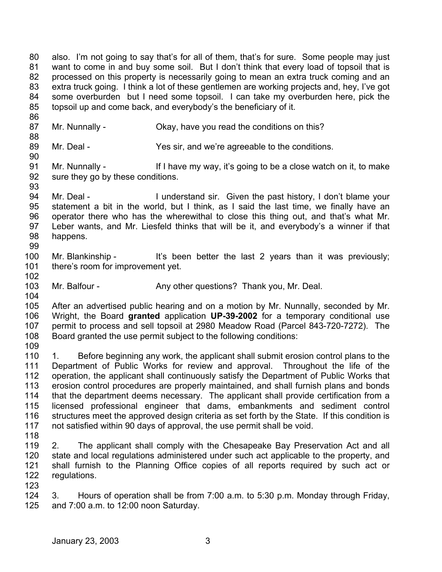80 81 82 83 84 85 also. I'm not going to say that's for all of them, that's for sure. Some people may just want to come in and buy some soil. But I don't think that every load of topsoil that is processed on this property is necessarily going to mean an extra truck coming and an extra truck going. I think a lot of these gentlemen are working projects and, hey, I've got some overburden but I need some topsoil. I can take my overburden here, pick the topsoil up and come back, and everybody's the beneficiary of it.

- 87 Mr. Nunnally - Ckay, have you read the conditions on this?
- 89 Mr. Deal - Yes sir, and we're agreeable to the conditions.
- 91 92 Mr. Nunnally - If I have my way, it's going to be a close watch on it, to make sure they go by these conditions.
- 94 95 96 97 98 99 Mr. Deal - The I understand sir. Given the past history, I don't blame your statement a bit in the world, but I think, as I said the last time, we finally have an operator there who has the wherewithal to close this thing out, and that's what Mr. Leber wants, and Mr. Liesfeld thinks that will be it, and everybody's a winner if that happens.
- 100 101 Mr. Blankinship - It's been better the last 2 years than it was previously; there's room for improvement yet.
- 103 Mr. Balfour - Any other questions? Thank you, Mr. Deal.
- 105 106 107 108 After an advertised public hearing and on a motion by Mr. Nunnally, seconded by Mr. Wright, the Board **granted** application **UP-39-2002** for a temporary conditional use permit to process and sell topsoil at 2980 Meadow Road (Parcel 843-720-7272). The Board granted the use permit subject to the following conditions:
- 109

102

104

86

88

90

93

110 111 112 113 114 115 116 117 1. Before beginning any work, the applicant shall submit erosion control plans to the Department of Public Works for review and approval. Throughout the life of the operation, the applicant shall continuously satisfy the Department of Public Works that erosion control procedures are properly maintained, and shall furnish plans and bonds that the department deems necessary. The applicant shall provide certification from a licensed professional engineer that dams, embankments and sediment control structures meet the approved design criteria as set forth by the State. If this condition is not satisfied within 90 days of approval, the use permit shall be void.

- 118
- 119 120 121 122 2. The applicant shall comply with the Chesapeake Bay Preservation Act and all state and local regulations administered under such act applicable to the property, and shall furnish to the Planning Office copies of all reports required by such act or regulations.
- 123

124 125 3. Hours of operation shall be from 7:00 a.m. to 5:30 p.m. Monday through Friday, and 7:00 a.m. to 12:00 noon Saturday.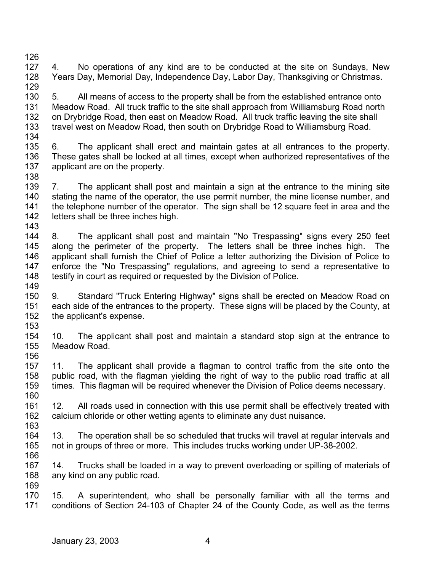- 126 127 128 4. No operations of any kind are to be conducted at the site on Sundays, New Years Day, Memorial Day, Independence Day, Labor Day, Thanksgiving or Christmas.
- 129 130 131 132 133 134 5. All means of access to the property shall be from the established entrance onto Meadow Road. All truck traffic to the site shall approach from Williamsburg Road north on Drybridge Road, then east on Meadow Road. All truck traffic leaving the site shall travel west on Meadow Road, then south on Drybridge Road to Williamsburg Road.
- 135 136 137 138 6. The applicant shall erect and maintain gates at all entrances to the property. These gates shall be locked at all times, except when authorized representatives of the applicant are on the property.
- 139 140 141 142 143 7. The applicant shall post and maintain a sign at the entrance to the mining site stating the name of the operator, the use permit number, the mine license number, and the telephone number of the operator. The sign shall be 12 square feet in area and the letters shall be three inches high.
- 144 145 146 147 148 149 8. The applicant shall post and maintain "No Trespassing" signs every 250 feet along the perimeter of the property. The letters shall be three inches high. The applicant shall furnish the Chief of Police a letter authorizing the Division of Police to enforce the "No Trespassing" regulations, and agreeing to send a representative to testify in court as required or requested by the Division of Police.
- 150 151 152 153 9. Standard "Truck Entering Highway" signs shall be erected on Meadow Road on each side of the entrances to the property. These signs will be placed by the County, at the applicant's expense.
- 154 155 156 10. The applicant shall post and maintain a standard stop sign at the entrance to Meadow Road.
- 157 158 159 160 11. The applicant shall provide a flagman to control traffic from the site onto the public road, with the flagman yielding the right of way to the public road traffic at all times. This flagman will be required whenever the Division of Police deems necessary.
- 161 162 163 12. All roads used in connection with this use permit shall be effectively treated with calcium chloride or other wetting agents to eliminate any dust nuisance.
- 164 165 13. The operation shall be so scheduled that trucks will travel at regular intervals and not in groups of three or more. This includes trucks working under UP-38-2002.
- 167 168 169 14. Trucks shall be loaded in a way to prevent overloading or spilling of materials of any kind on any public road.
- 170 171 15. A superintendent, who shall be personally familiar with all the terms and conditions of Section 24-103 of Chapter 24 of the County Code, as well as the terms

166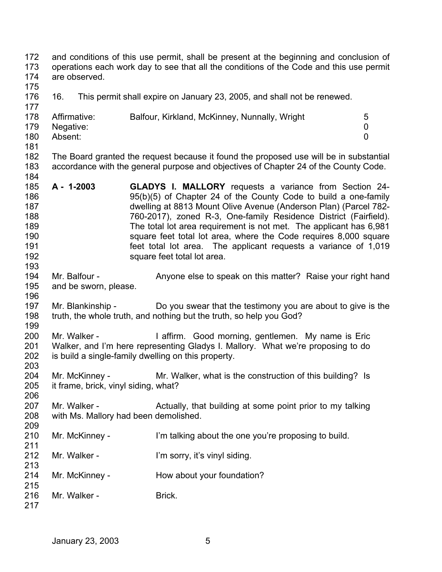172 173 174 175 176 177 178 179 180 181 182 183 184 185 186 187 188 189 190 191 192 193 194 195 196 197 198 199 200 201 202 203 204 205 206 207 208 209 210 211 212 213 214 215 216 217 and conditions of this use permit, shall be present at the beginning and conclusion of operations each work day to see that all the conditions of the Code and this use permit are observed. 16. This permit shall expire on January 23, 2005, and shall not be renewed. Affirmative: Balfour, Kirkland, McKinney, Nunnally, Wright 5 Negative: 0 Absent: 0 The Board granted the request because it found the proposed use will be in substantial accordance with the general purpose and objectives of Chapter 24 of the County Code. **A - 1-2003 GLADYS I. MALLORY** requests a variance from Section 24- 95(b)(5) of Chapter 24 of the County Code to build a one-family dwelling at 8813 Mount Olive Avenue (Anderson Plan) (Parcel 782- 760-2017), zoned R-3, One-family Residence District (Fairfield). The total lot area requirement is not met. The applicant has 6,981 square feet total lot area, where the Code requires 8,000 square feet total lot area. The applicant requests a variance of 1,019 square feet total lot area. Mr. Balfour - Anyone else to speak on this matter? Raise your right hand and be sworn, please. Mr. Blankinship - Do you swear that the testimony you are about to give is the truth, the whole truth, and nothing but the truth, so help you God? Mr. Walker - The Muslim Cood morning, gentlemen. My name is Eric Walker, and I'm here representing Gladys I. Mallory. What we're proposing to do is build a single-family dwelling on this property. Mr. McKinney - Mr. Walker, what is the construction of this building? Is it frame, brick, vinyl siding, what? Mr. Walker - Actually, that building at some point prior to my talking with Ms. Mallory had been demolished. Mr. McKinney - I'm talking about the one you're proposing to build. Mr. Walker - **I'm sorry, it's vinyl siding.** Mr. McKinney - How about your foundation? Mr. Walker - Brick.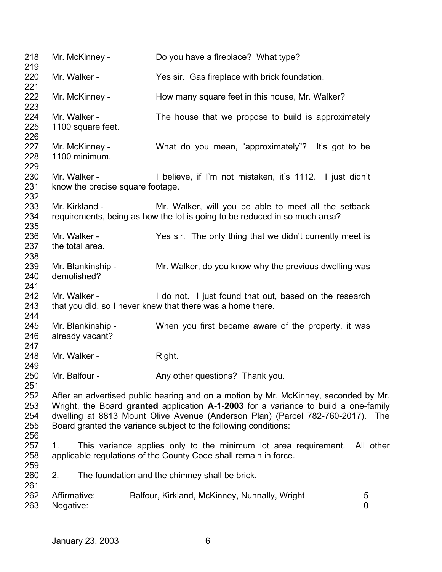| 218<br>219                                                                                                                                                                                                                                                                                                                                                  | Mr. McKinney -                                                                                                                                         | Do you have a fireplace? What type?                                                                                                |  |  |  |
|-------------------------------------------------------------------------------------------------------------------------------------------------------------------------------------------------------------------------------------------------------------------------------------------------------------------------------------------------------------|--------------------------------------------------------------------------------------------------------------------------------------------------------|------------------------------------------------------------------------------------------------------------------------------------|--|--|--|
| 220<br>221                                                                                                                                                                                                                                                                                                                                                  | Mr. Walker -                                                                                                                                           | Yes sir. Gas fireplace with brick foundation.                                                                                      |  |  |  |
| 222<br>223                                                                                                                                                                                                                                                                                                                                                  | Mr. McKinney -                                                                                                                                         | How many square feet in this house, Mr. Walker?                                                                                    |  |  |  |
| 224<br>225<br>226                                                                                                                                                                                                                                                                                                                                           | Mr. Walker -<br>1100 square feet.                                                                                                                      | The house that we propose to build is approximately                                                                                |  |  |  |
| 227<br>228<br>229                                                                                                                                                                                                                                                                                                                                           | Mr. McKinney -<br>1100 minimum.                                                                                                                        | What do you mean, "approximately"? It's got to be                                                                                  |  |  |  |
| 230<br>231<br>232                                                                                                                                                                                                                                                                                                                                           | Mr. Walker -<br>know the precise square footage.                                                                                                       | I believe, if I'm not mistaken, it's 1112. I just didn't                                                                           |  |  |  |
| 233<br>234<br>235                                                                                                                                                                                                                                                                                                                                           | Mr. Kirkland -                                                                                                                                         | Mr. Walker, will you be able to meet all the setback<br>requirements, being as how the lot is going to be reduced in so much area? |  |  |  |
| 236<br>237<br>238                                                                                                                                                                                                                                                                                                                                           | Mr. Walker -<br>the total area.                                                                                                                        | Yes sir. The only thing that we didn't currently meet is                                                                           |  |  |  |
| 239<br>240<br>241                                                                                                                                                                                                                                                                                                                                           | Mr. Blankinship -<br>demolished?                                                                                                                       | Mr. Walker, do you know why the previous dwelling was                                                                              |  |  |  |
| 242<br>243                                                                                                                                                                                                                                                                                                                                                  | Mr. Walker -                                                                                                                                           | I do not. I just found that out, based on the research<br>that you did, so I never knew that there was a home there.               |  |  |  |
| 244<br>245<br>246                                                                                                                                                                                                                                                                                                                                           | Mr. Blankinship -<br>already vacant?                                                                                                                   | When you first became aware of the property, it was                                                                                |  |  |  |
| 247<br>248<br>249                                                                                                                                                                                                                                                                                                                                           | Mr. Walker -                                                                                                                                           | Right.                                                                                                                             |  |  |  |
| 250<br>251                                                                                                                                                                                                                                                                                                                                                  | Mr. Balfour -                                                                                                                                          | Any other questions? Thank you.                                                                                                    |  |  |  |
| 252<br>After an advertised public hearing and on a motion by Mr. McKinney, seconded by Mr.<br>253<br>Wright, the Board granted application A-1-2003 for a variance to build a one-family<br>254<br>dwelling at 8813 Mount Olive Avenue (Anderson Plan) (Parcel 782-760-2017). The<br>255<br>Board granted the variance subject to the following conditions: |                                                                                                                                                        |                                                                                                                                    |  |  |  |
| 256<br>257<br>258<br>259                                                                                                                                                                                                                                                                                                                                    | This variance applies only to the minimum lot area requirement.<br>All other<br>1.<br>applicable regulations of the County Code shall remain in force. |                                                                                                                                    |  |  |  |
| 260<br>261                                                                                                                                                                                                                                                                                                                                                  | 2.                                                                                                                                                     | The foundation and the chimney shall be brick.                                                                                     |  |  |  |
| 262<br>263                                                                                                                                                                                                                                                                                                                                                  | Affirmative:<br>Balfour, Kirkland, McKinney, Nunnally, Wright<br>5<br>0<br>Negative:                                                                   |                                                                                                                                    |  |  |  |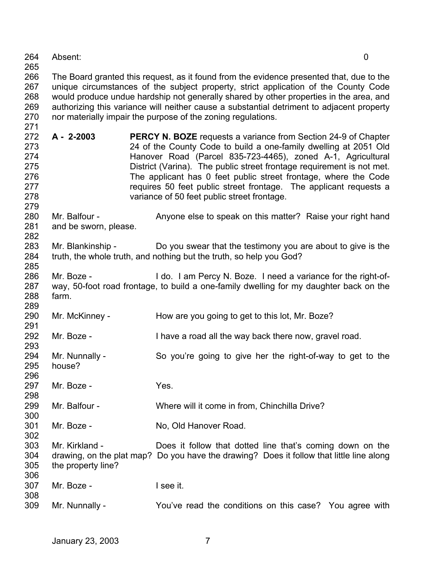| 264 | Absent: |  |
|-----|---------|--|
|     |         |  |

265

271

291

296

300

266 267 268 269 270 The Board granted this request, as it found from the evidence presented that, due to the unique circumstances of the subject property, strict application of the County Code would produce undue hardship not generally shared by other properties in the area, and authorizing this variance will neither cause a substantial detriment to adjacent property nor materially impair the purpose of the zoning regulations.

- 272 273 274 275 276 277 278 **A - 2-2003 PERCY N. BOZE** requests a variance from Section 24-9 of Chapter 24 of the County Code to build a one-family dwelling at 2051 Old Hanover Road (Parcel 835-723-4465), zoned A-1, Agricultural District (Varina). The public street frontage requirement is not met. The applicant has 0 feet public street frontage, where the Code requires 50 feet public street frontage. The applicant requests a variance of 50 feet public street frontage.
- 279 280 281 282 Mr. Balfour - Anyone else to speak on this matter? Raise your right hand and be sworn, please.
- 283 284 285 Mr. Blankinship - Do you swear that the testimony you are about to give is the truth, the whole truth, and nothing but the truth, so help you God?
- 286 287 288 289 Mr. Boze - **I** do. I am Percy N. Boze. I need a variance for the right-ofway, 50-foot road frontage, to build a one-family dwelling for my daughter back on the farm.
- 290 Mr. McKinney - How are you going to get to this lot, Mr. Boze?
- 292 Mr. Boze - Thave a road all the way back there now, gravel road.
- 293 294 295 Mr. Nunnally - So you're going to give her the right-of-way to get to the house?

297 298 Mr. Boze - The Yes.

- 299 Mr. Balfour - Where will it come in from, Chinchilla Drive?
- 301 302 Mr. Boze - No, Old Hanover Road.
- 303 304 305 306 Mr. Kirkland - Does it follow that dotted line that's coming down on the drawing, on the plat map? Do you have the drawing? Does it follow that little line along the property line?
- 307 308 Mr. Boze - I see it.
- 309 Mr. Nunnally - You've read the conditions on this case? You agree with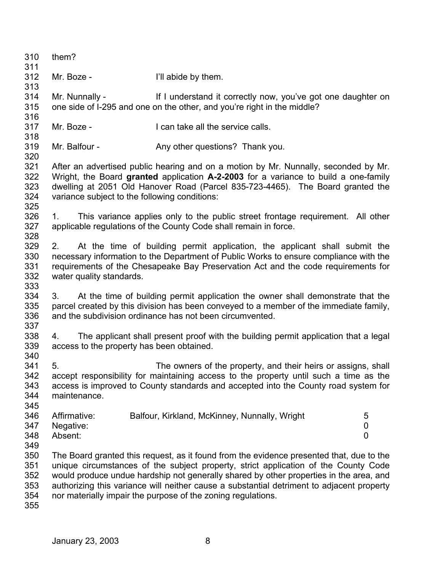| 310<br>311                             | them?                                                                                                                                                                                                                                                                                                         |                                                                                                                                                                                                                                                                                                                                                                                                                                        |                          |
|----------------------------------------|---------------------------------------------------------------------------------------------------------------------------------------------------------------------------------------------------------------------------------------------------------------------------------------------------------------|----------------------------------------------------------------------------------------------------------------------------------------------------------------------------------------------------------------------------------------------------------------------------------------------------------------------------------------------------------------------------------------------------------------------------------------|--------------------------|
| 312<br>313                             | Mr. Boze -                                                                                                                                                                                                                                                                                                    | I'll abide by them.                                                                                                                                                                                                                                                                                                                                                                                                                    |                          |
| 314<br>315<br>316                      | Mr. Nunnally -                                                                                                                                                                                                                                                                                                | If I understand it correctly now, you've got one daughter on<br>one side of I-295 and one on the other, and you're right in the middle?                                                                                                                                                                                                                                                                                                |                          |
| 317<br>318                             | Mr. Boze -                                                                                                                                                                                                                                                                                                    | I can take all the service calls.                                                                                                                                                                                                                                                                                                                                                                                                      |                          |
| 319<br>320                             | Mr. Balfour -                                                                                                                                                                                                                                                                                                 | Any other questions? Thank you.                                                                                                                                                                                                                                                                                                                                                                                                        |                          |
| 321<br>322<br>323<br>324<br>325        | After an advertised public hearing and on a motion by Mr. Nunnally, seconded by Mr.<br>Wright, the Board granted application A-2-2003 for a variance to build a one-family<br>dwelling at 2051 Old Hanover Road (Parcel 835-723-4465). The Board granted the<br>variance subject to the following conditions: |                                                                                                                                                                                                                                                                                                                                                                                                                                        |                          |
| 326<br>327<br>328                      | 1.                                                                                                                                                                                                                                                                                                            | This variance applies only to the public street frontage requirement. All other<br>applicable regulations of the County Code shall remain in force.                                                                                                                                                                                                                                                                                    |                          |
| 329<br>330<br>331<br>332<br>333        | 2.<br>water quality standards.                                                                                                                                                                                                                                                                                | At the time of building permit application, the applicant shall submit the<br>necessary information to the Department of Public Works to ensure compliance with the<br>requirements of the Chesapeake Bay Preservation Act and the code requirements for                                                                                                                                                                               |                          |
| 334<br>335<br>336<br>337               | 3.                                                                                                                                                                                                                                                                                                            | At the time of building permit application the owner shall demonstrate that the<br>parcel created by this division has been conveyed to a member of the immediate family,<br>and the subdivision ordinance has not been circumvented.                                                                                                                                                                                                  |                          |
| 338<br>339<br>340                      | 4.<br>access to the property has been obtained.                                                                                                                                                                                                                                                               | The applicant shall present proof with the building permit application that a legal                                                                                                                                                                                                                                                                                                                                                    |                          |
| 341<br>342<br>343<br>344<br>345        | 5.<br>maintenance.                                                                                                                                                                                                                                                                                            | The owners of the property, and their heirs or assigns, shall<br>accept responsibility for maintaining access to the property until such a time as the<br>access is improved to County standards and accepted into the County road system for                                                                                                                                                                                          |                          |
| 346<br>347<br>348<br>349               | Affirmative:<br>Negative:<br>Absent:                                                                                                                                                                                                                                                                          | Balfour, Kirkland, McKinney, Nunnally, Wright                                                                                                                                                                                                                                                                                                                                                                                          | 5<br>0<br>$\overline{0}$ |
| 350<br>351<br>352<br>353<br>354<br>355 |                                                                                                                                                                                                                                                                                                               | The Board granted this request, as it found from the evidence presented that, due to the<br>unique circumstances of the subject property, strict application of the County Code<br>would produce undue hardship not generally shared by other properties in the area, and<br>authorizing this variance will neither cause a substantial detriment to adjacent property<br>nor materially impair the purpose of the zoning regulations. |                          |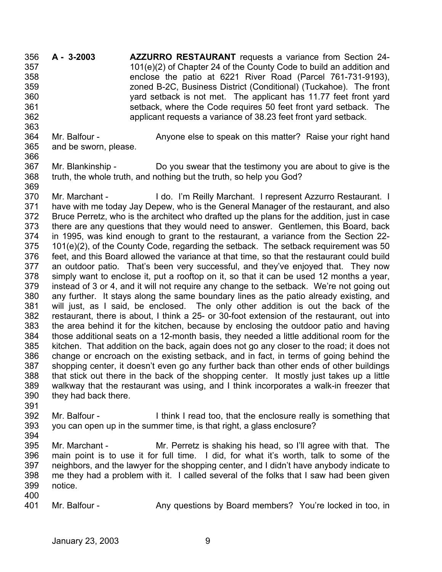**A - 3-2003 AZZURRO RESTAURANT** requests a variance from Section 24- 101(e)(2) of Chapter 24 of the County Code to build an addition and enclose the patio at 6221 River Road (Parcel 761-731-9193), zoned B-2C, Business District (Conditional) (Tuckahoe). The front yard setback is not met. The applicant has 11.77 feet front yard setback, where the Code requires 50 feet front yard setback. The applicant requests a variance of 38.23 feet front yard setback. 356 357 358 359 360 361 362

- 364 365 Mr. Balfour - Anyone else to speak on this matter? Raise your right hand and be sworn, please.
- 367 368 369 Mr. Blankinship - Do you swear that the testimony you are about to give is the truth, the whole truth, and nothing but the truth, so help you God?
- 370 371 372 373 374 375 376 377 378 379 380 381 382 383 384 385 386 387 388 389 390 Mr. Marchant - I do. I'm Reilly Marchant. I represent Azzurro Restaurant. I have with me today Jay Depew, who is the General Manager of the restaurant, and also Bruce Perretz, who is the architect who drafted up the plans for the addition, just in case there are any questions that they would need to answer. Gentlemen, this Board, back in 1995, was kind enough to grant to the restaurant, a variance from the Section 22- 101(e)(2), of the County Code, regarding the setback. The setback requirement was 50 feet, and this Board allowed the variance at that time, so that the restaurant could build an outdoor patio. That's been very successful, and they've enjoyed that. They now simply want to enclose it, put a rooftop on it, so that it can be used 12 months a year, instead of 3 or 4, and it will not require any change to the setback. We're not going out any further. It stays along the same boundary lines as the patio already existing, and will just, as I said, be enclosed. The only other addition is out the back of the restaurant, there is about, I think a 25- or 30-foot extension of the restaurant, out into the area behind it for the kitchen, because by enclosing the outdoor patio and having those additional seats on a 12-month basis, they needed a little additional room for the kitchen. That addition on the back, again does not go any closer to the road; it does not change or encroach on the existing setback, and in fact, in terms of going behind the shopping center, it doesn't even go any further back than other ends of other buildings that stick out there in the back of the shopping center. It mostly just takes up a little walkway that the restaurant was using, and I think incorporates a walk-in freezer that they had back there.
- 391 392 393 Mr. Balfour - I think I read too, that the enclosure really is something that you can open up in the summer time, is that right, a glass enclosure?
- 394

363

366

- 395 396 397 398 399 Mr. Marchant - Mr. Perretz is shaking his head, so I'll agree with that. The main point is to use it for full time. I did, for what it's worth, talk to some of the neighbors, and the lawyer for the shopping center, and I didn't have anybody indicate to me they had a problem with it. I called several of the folks that I saw had been given notice.
- 400

401 Mr. Balfour - Any questions by Board members? You're locked in too, in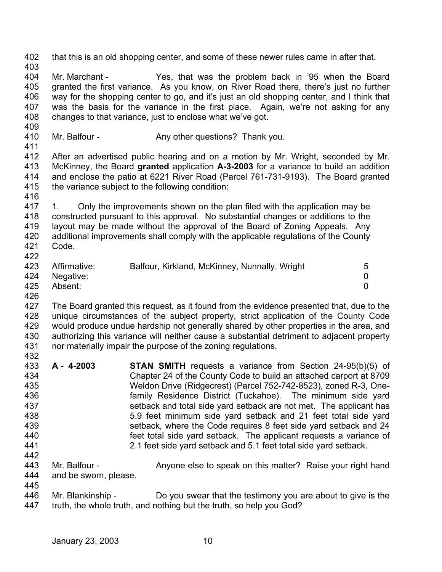| 402<br>403                                                         |                                                                                                                                                                                                                                                                                                                                                                                                                                        | that this is an old shopping center, and some of these newer rules came in after that.                                                                                                                                                                                                                                                                                                                                                                                                                                                                                                                                           |                          |  |
|--------------------------------------------------------------------|----------------------------------------------------------------------------------------------------------------------------------------------------------------------------------------------------------------------------------------------------------------------------------------------------------------------------------------------------------------------------------------------------------------------------------------|----------------------------------------------------------------------------------------------------------------------------------------------------------------------------------------------------------------------------------------------------------------------------------------------------------------------------------------------------------------------------------------------------------------------------------------------------------------------------------------------------------------------------------------------------------------------------------------------------------------------------------|--------------------------|--|
| 404<br>405<br>406<br>407<br>408<br>409                             | Mr. Marchant -<br>Yes, that was the problem back in '95 when the Board<br>granted the first variance. As you know, on River Road there, there's just no further<br>way for the shopping center to go, and it's just an old shopping center, and I think that<br>was the basis for the variance in the first place. Again, we're not asking for any<br>changes to that variance, just to enclose what we've got.                        |                                                                                                                                                                                                                                                                                                                                                                                                                                                                                                                                                                                                                                  |                          |  |
| 410<br>411                                                         | Mr. Balfour -                                                                                                                                                                                                                                                                                                                                                                                                                          | Any other questions? Thank you.                                                                                                                                                                                                                                                                                                                                                                                                                                                                                                                                                                                                  |                          |  |
| 412<br>413<br>414<br>415<br>416                                    | After an advertised public hearing and on a motion by Mr. Wright, seconded by Mr.<br>McKinney, the Board granted application A-3-2003 for a variance to build an addition<br>and enclose the patio at 6221 River Road (Parcel 761-731-9193). The Board granted<br>the variance subject to the following condition:                                                                                                                     |                                                                                                                                                                                                                                                                                                                                                                                                                                                                                                                                                                                                                                  |                          |  |
| 417<br>418<br>419<br>420<br>421<br>422                             | Only the improvements shown on the plan filed with the application may be<br>1.<br>constructed pursuant to this approval. No substantial changes or additions to the<br>layout may be made without the approval of the Board of Zoning Appeals. Any<br>additional improvements shall comply with the applicable regulations of the County<br>Code.                                                                                     |                                                                                                                                                                                                                                                                                                                                                                                                                                                                                                                                                                                                                                  |                          |  |
| 423<br>424<br>425<br>426                                           | Affirmative:<br>Negative:<br>Absent:                                                                                                                                                                                                                                                                                                                                                                                                   | Balfour, Kirkland, McKinney, Nunnally, Wright                                                                                                                                                                                                                                                                                                                                                                                                                                                                                                                                                                                    | 5<br>0<br>$\overline{0}$ |  |
| 427<br>428<br>429<br>430<br>431<br>432                             | The Board granted this request, as it found from the evidence presented that, due to the<br>unique circumstances of the subject property, strict application of the County Code<br>would produce undue hardship not generally shared by other properties in the area, and<br>authorizing this variance will neither cause a substantial detriment to adjacent property<br>nor materially impair the purpose of the zoning regulations. |                                                                                                                                                                                                                                                                                                                                                                                                                                                                                                                                                                                                                                  |                          |  |
| 433<br>434<br>435<br>436<br>437<br>438<br>439<br>440<br>441<br>442 | A - 4-2003                                                                                                                                                                                                                                                                                                                                                                                                                             | <b>STAN SMITH</b> requests a variance from Section 24-95(b)(5) of<br>Chapter 24 of the County Code to build an attached carport at 8709<br>Weldon Drive (Ridgecrest) (Parcel 752-742-8523), zoned R-3, One-<br>family Residence District (Tuckahoe). The minimum side yard<br>setback and total side yard setback are not met. The applicant has<br>5.9 feet minimum side yard setback and 21 feet total side yard<br>setback, where the Code requires 8 feet side yard setback and 24<br>feet total side yard setback. The applicant requests a variance of<br>2.1 feet side yard setback and 5.1 feet total side yard setback. |                          |  |
| 443<br>444<br>445                                                  | Mr. Balfour -<br>and be sworn, please.                                                                                                                                                                                                                                                                                                                                                                                                 | Anyone else to speak on this matter? Raise your right hand                                                                                                                                                                                                                                                                                                                                                                                                                                                                                                                                                                       |                          |  |
| 446<br>447                                                         | Mr. Blankinship -                                                                                                                                                                                                                                                                                                                                                                                                                      | Do you swear that the testimony you are about to give is the<br>truth, the whole truth, and nothing but the truth, so help you God?                                                                                                                                                                                                                                                                                                                                                                                                                                                                                              |                          |  |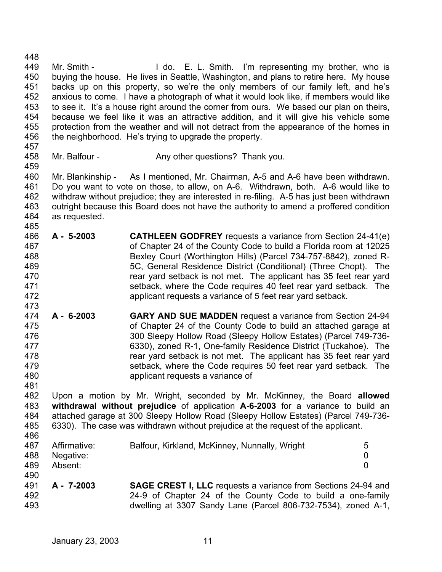448 449 450 451 452 453 454 455 456 457 458 459 460 461 462 463 464 465 466 467 468 469 470 471 472 473 474 475 476 477 478 479 480 481 482 483 484 485 486 487 488 489 490 491 492 Mr. Smith - The Music L. Smith. I'm representing my brother, who is buying the house. He lives in Seattle, Washington, and plans to retire here. My house backs up on this property, so we're the only members of our family left, and he's anxious to come. I have a photograph of what it would look like, if members would like to see it. It's a house right around the corner from ours. We based our plan on theirs, because we feel like it was an attractive addition, and it will give his vehicle some protection from the weather and will not detract from the appearance of the homes in the neighborhood. He's trying to upgrade the property. Mr. Balfour - Any other questions? Thank you. Mr. Blankinship - As I mentioned, Mr. Chairman, A-5 and A-6 have been withdrawn. Do you want to vote on those, to allow, on A-6. Withdrawn, both. A-6 would like to withdraw without prejudice; they are interested in re-filing. A-5 has just been withdrawn outright because this Board does not have the authority to amend a proffered condition as requested. **A - 5-2003 CATHLEEN GODFREY** requests a variance from Section 24-41(e) of Chapter 24 of the County Code to build a Florida room at 12025 Bexley Court (Worthington Hills) (Parcel 734-757-8842), zoned R-5C, General Residence District (Conditional) (Three Chopt). The rear yard setback is not met. The applicant has 35 feet rear yard setback, where the Code requires 40 feet rear yard setback. The applicant requests a variance of 5 feet rear yard setback. **A - 6-2003 GARY AND SUE MADDEN** request a variance from Section 24-94 of Chapter 24 of the County Code to build an attached garage at 300 Sleepy Hollow Road (Sleepy Hollow Estates) (Parcel 749-736- 6330), zoned R-1, One-family Residence District (Tuckahoe). The rear yard setback is not met. The applicant has 35 feet rear yard setback, where the Code requires 50 feet rear yard setback. The applicant requests a variance of Upon a motion by Mr. Wright, seconded by Mr. McKinney, the Board **allowed withdrawal without prejudice** of application **A-6-2003** for a variance to build an attached garage at 300 Sleepy Hollow Road (Sleepy Hollow Estates) (Parcel 749-736- 6330). The case was withdrawn without prejudice at the request of the applicant. Affirmative: Balfour, Kirkland, McKinney, Nunnally, Wright 5 Negative: 0 Absent: 0 **A - 7-2003 SAGE CREST I, LLC** requests a variance from Sections 24-94 and 24-9 of Chapter 24 of the County Code to build a one-family

493

dwelling at 3307 Sandy Lane (Parcel 806-732-7534), zoned A-1,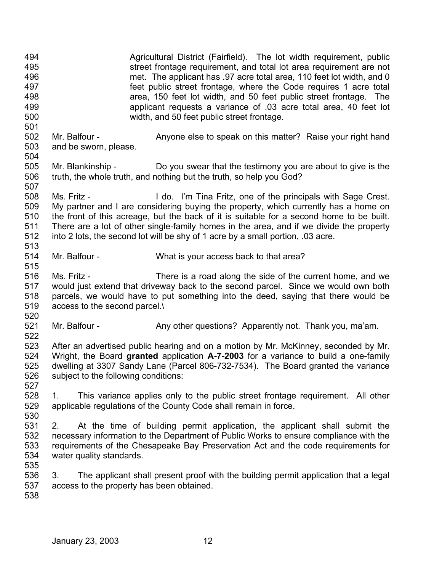494 495 496 497 498 499 500 501 502 503 504 505 506 507 508 509 510 511 512 513 514 515 516 517 518 519 520 521 522 523 524 525 526 527 528 529 530 531 532 533 534 535 536 537 538 Agricultural District (Fairfield). The lot width requirement, public street frontage requirement, and total lot area requirement are not met. The applicant has .97 acre total area, 110 feet lot width, and 0 feet public street frontage, where the Code requires 1 acre total area, 150 feet lot width, and 50 feet public street frontage. The applicant requests a variance of .03 acre total area, 40 feet lot width, and 50 feet public street frontage. Mr. Balfour - Anyone else to speak on this matter? Raise your right hand and be sworn, please. Mr. Blankinship - Do you swear that the testimony you are about to give is the truth, the whole truth, and nothing but the truth, so help you God? Ms. Fritz - I do. I'm Tina Fritz, one of the principals with Sage Crest. My partner and I are considering buying the property, which currently has a home on the front of this acreage, but the back of it is suitable for a second home to be built. There are a lot of other single-family homes in the area, and if we divide the property into 2 lots, the second lot will be shy of 1 acre by a small portion, .03 acre. Mr. Balfour - What is your access back to that area? Ms. Fritz - There is a road along the side of the current home, and we would just extend that driveway back to the second parcel. Since we would own both parcels, we would have to put something into the deed, saying that there would be access to the second parcel.\ Mr. Balfour - Any other questions? Apparently not. Thank you, ma'am. After an advertised public hearing and on a motion by Mr. McKinney, seconded by Mr. Wright, the Board **granted** application **A-7-2003** for a variance to build a one-family dwelling at 3307 Sandy Lane (Parcel 806-732-7534). The Board granted the variance subject to the following conditions: 1. This variance applies only to the public street frontage requirement. All other applicable regulations of the County Code shall remain in force. 2. At the time of building permit application, the applicant shall submit the necessary information to the Department of Public Works to ensure compliance with the requirements of the Chesapeake Bay Preservation Act and the code requirements for water quality standards. 3. The applicant shall present proof with the building permit application that a legal access to the property has been obtained.